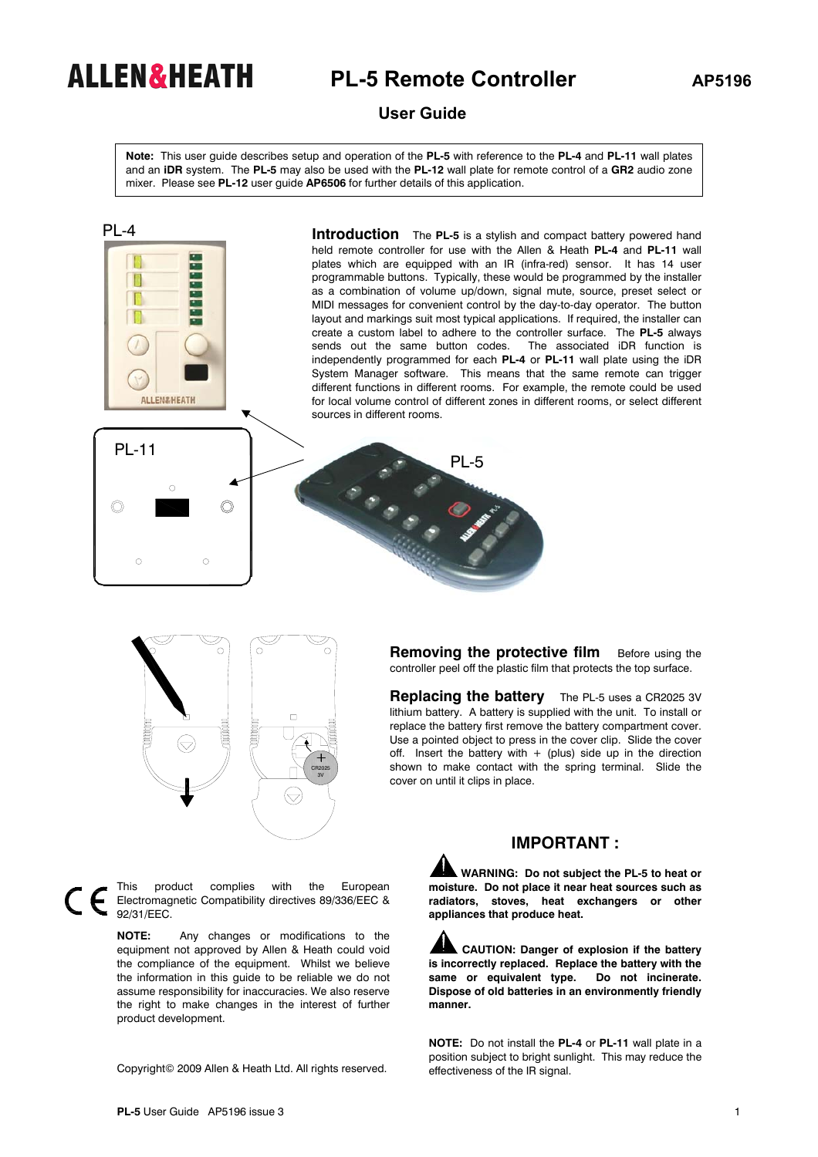## **ALLEN&HEATH** PL-5 Remote Controller AP5196

## **User Guide**

**Note:** This user guide describes setup and operation of the **PL-5** with reference to the **PL-4** and **PL-11** wall plates and an **iDR** system. The **PL-5** may also be used with the **PL-12** wall plate for remote control of a **GR2** audio zone mixer. Please see **PL-12** user guide **AP6506** for further details of this application.





**Removing the protective film** Before using the controller peel off the plastic film that protects the top surface.

**Replacing the battery** The PL-5 uses a CR2025 3V lithium battery. A battery is supplied with the unit. To install or replace the battery first remove the battery compartment cover. Use a pointed object to press in the cover clip. Slide the cover off. Insert the battery with  $+$  (plus) side up in the direction shown to make contact with the spring terminal. Slide the cover on until it clips in place.

This product complies with the European  $\in$ Electromagnetic Compatibility directives 89/336/EEC & 92/31/EEC.

> **NOTE:** Any changes or modifications to the equipment not approved by Allen & Heath could void the compliance of the equipment. Whilst we believe the information in this guide to be reliable we do not assume responsibility for inaccuracies. We also reserve the right to make changes in the interest of further product development.

Copyright© 2009 Allen & Heath Ltd. All rights reserved.

## **IMPORTANT :**

 **WARNING: Do not subject the PL-5 to heat or moisture. Do not place it near heat sources such as radiators, stoves, heat exchangers or other appliances that produce heat.** 

**CAUTION: Danger of explosion if the battery is incorrectly replaced. Replace the battery with the same or equivalent type. Do not incinerate. Dispose of old batteries in an environmently friendly manner.** 

**NOTE:** Do not install the **PL-4** or **PL-11** wall plate in a position subject to bright sunlight. This may reduce the effectiveness of the IR signal.